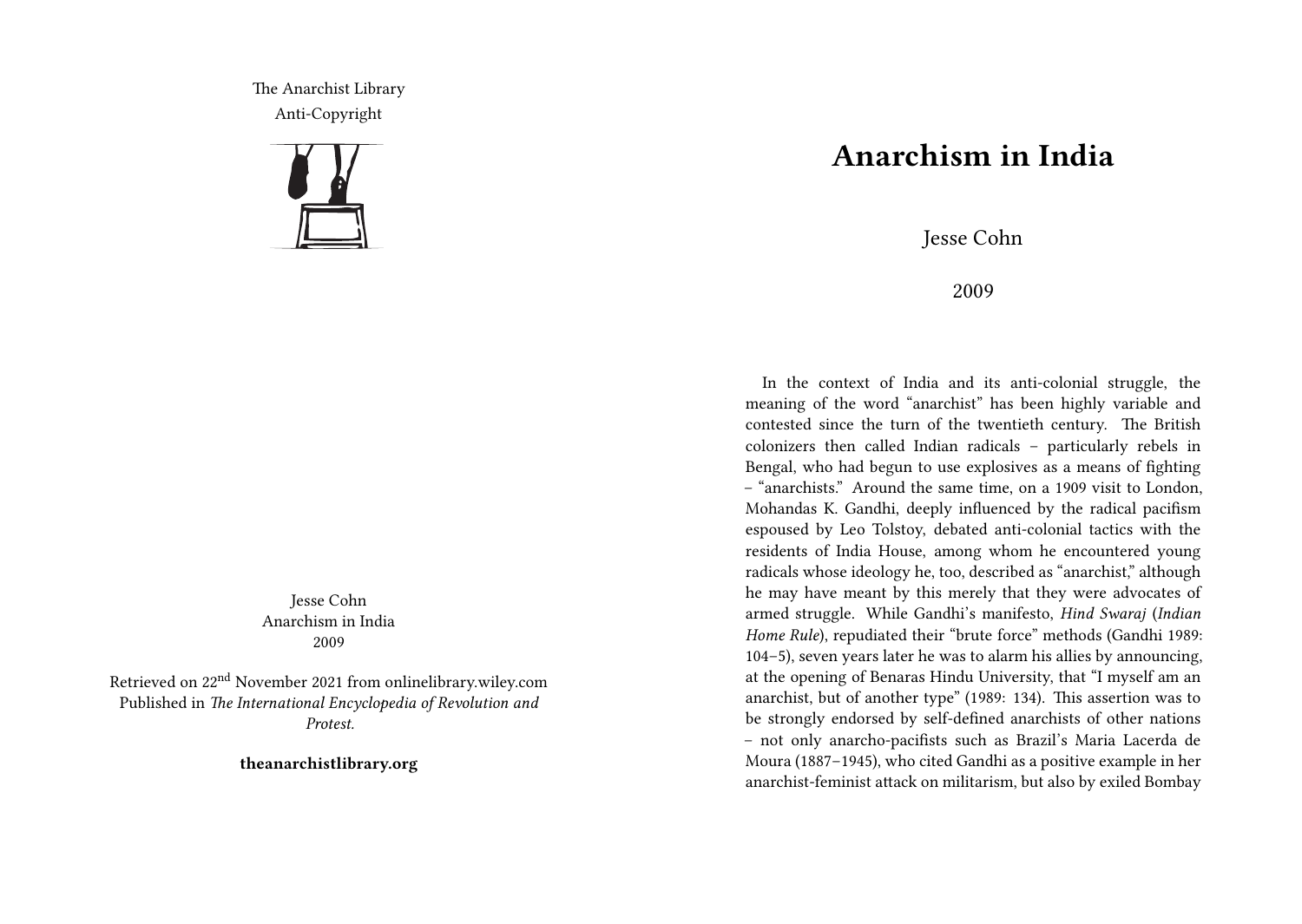The Anarchist Library Anti-Copyright



Jesse Cohn Anarchism in India 2009

Retrieved on 22nd November 2021 from onlinelibrary.wiley.com Published in *The International Encyclopedia of Revolution and Protest.*

**theanarchistlibrary.org**

## **Anarchism in India**

Jesse Cohn

2009

In the context of India and its anti-colonial struggle, the meaning of the word "anarchist" has been highly variable and contested since the turn of the twentieth century. The British colonizers then called Indian radicals – particularly rebels in Bengal, who had begun to use explosives as a means of fighting – "anarchists." Around the same time, on a 1909 visit to London, Mohandas K. Gandhi, deeply influenced by the radical pacifism espoused by Leo Tolstoy, debated anti-colonial tactics with the residents of India House, among whom he encountered young radicals whose ideology he, too, described as "anarchist," although he may have meant by this merely that they were advocates of armed struggle. While Gandhi's manifesto, *Hind Swaraj* (*Indian Home Rule*), repudiated their "brute force" methods (Gandhi 1989: 104–5), seven years later he was to alarm his allies by announcing, at the opening of Benaras Hindu University, that "I myself am an anarchist, but of another type" (1989: 134). This assertion was to be strongly endorsed by self-defined anarchists of other nations – not only anarcho-pacifists such as Brazil's Maria Lacerda de Moura (1887–1945), who cited Gandhi as a positive example in her anarchist-feminist attack on militarism, but also by exiled Bombay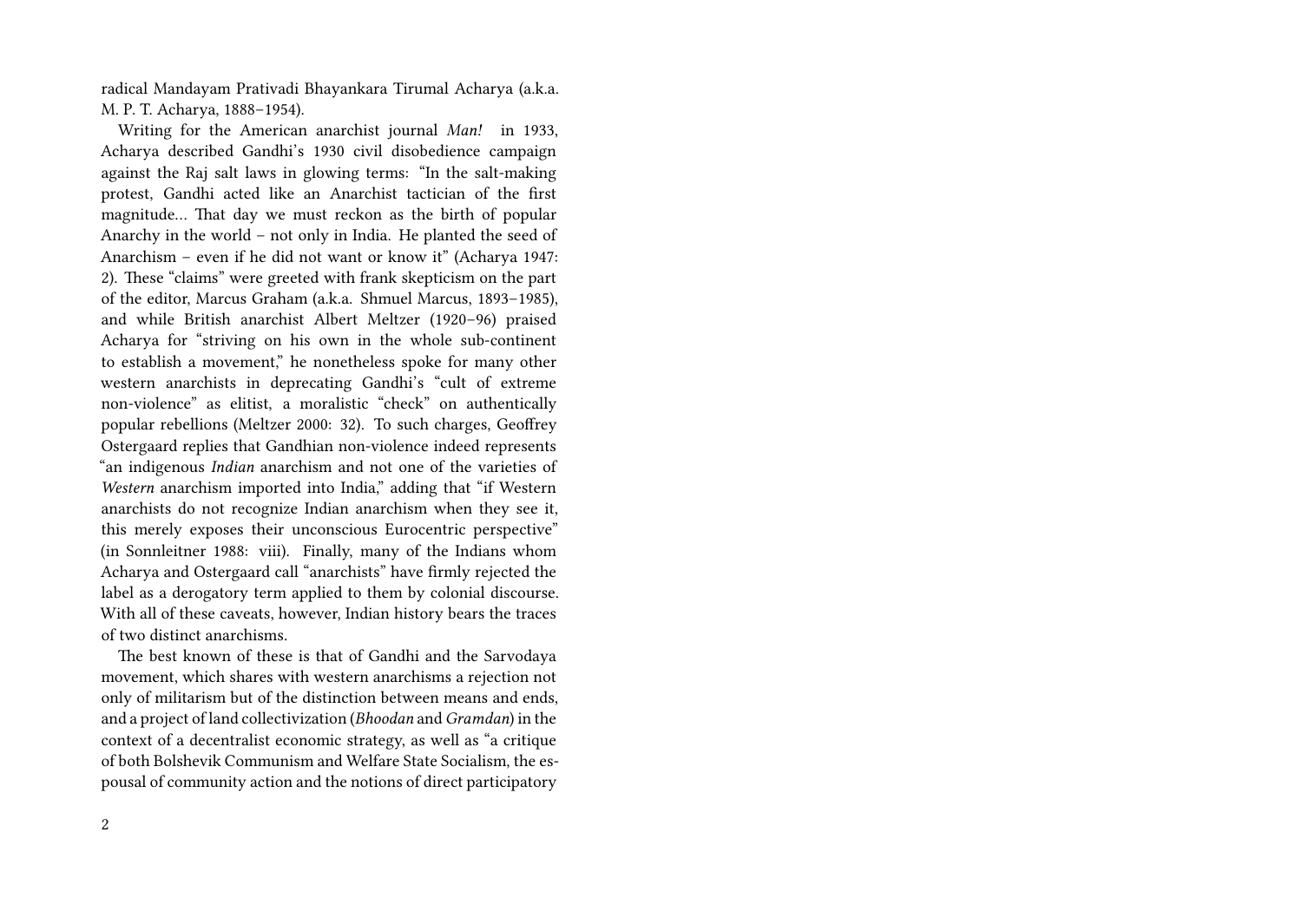radical Mandayam Prativadi Bhayankara Tirumal Acharya (a.k.a. M. P. T. Acharya, 1888–1954).

Writing for the American anarchist journal *Man!* in 1933, Acharya described Gandhi's 1930 civil disobedience campaign against the Raj salt laws in glowing terms: "In the salt-making protest, Gandhi acted like an Anarchist tactician of the first magnitude… That day we must reckon as the birth of popular Anarchy in the world – not only in India. He planted the seed of Anarchism – even if he did not want or know it" (Acharya 1947: 2). These "claims" were greeted with frank skepticism on the part of the editor, Marcus Graham (a.k.a. Shmuel Marcus, 1893–1985), and while British anarchist Albert Meltzer (1920–96) praised Acharya for "striving on his own in the whole sub-continent to establish a movement," he nonetheless spoke for many other western anarchists in deprecating Gandhi's "cult of extreme non-violence" as elitist, a moralistic "check" on authentically popular rebellions (Meltzer 2000: 32). To such charges, Geoffrey Ostergaard replies that Gandhian non-violence indeed represents "an indigenous *Indian* anarchism and not one of the varieties of *Western* anarchism imported into India," adding that "if Western anarchists do not recognize Indian anarchism when they see it, this merely exposes their unconscious Eurocentric perspective" (in Sonnleitner 1988: viii). Finally, many of the Indians whom Acharya and Ostergaard call "anarchists" have firmly rejected the label as a derogatory term applied to them by colonial discourse. With all of these caveats, however, Indian history bears the traces of two distinct anarchisms.

The best known of these is that of Gandhi and the Sarvodaya movement, which shares with western anarchisms a rejection not only of militarism but of the distinction between means and ends, and a project of land collectivization (*Bhoodan* and *Gramdan*) in the context of a decentralist economic strategy, as well as "a critique of both Bolshevik Communism and Welfare State Socialism, the espousal of community action and the notions of direct participatory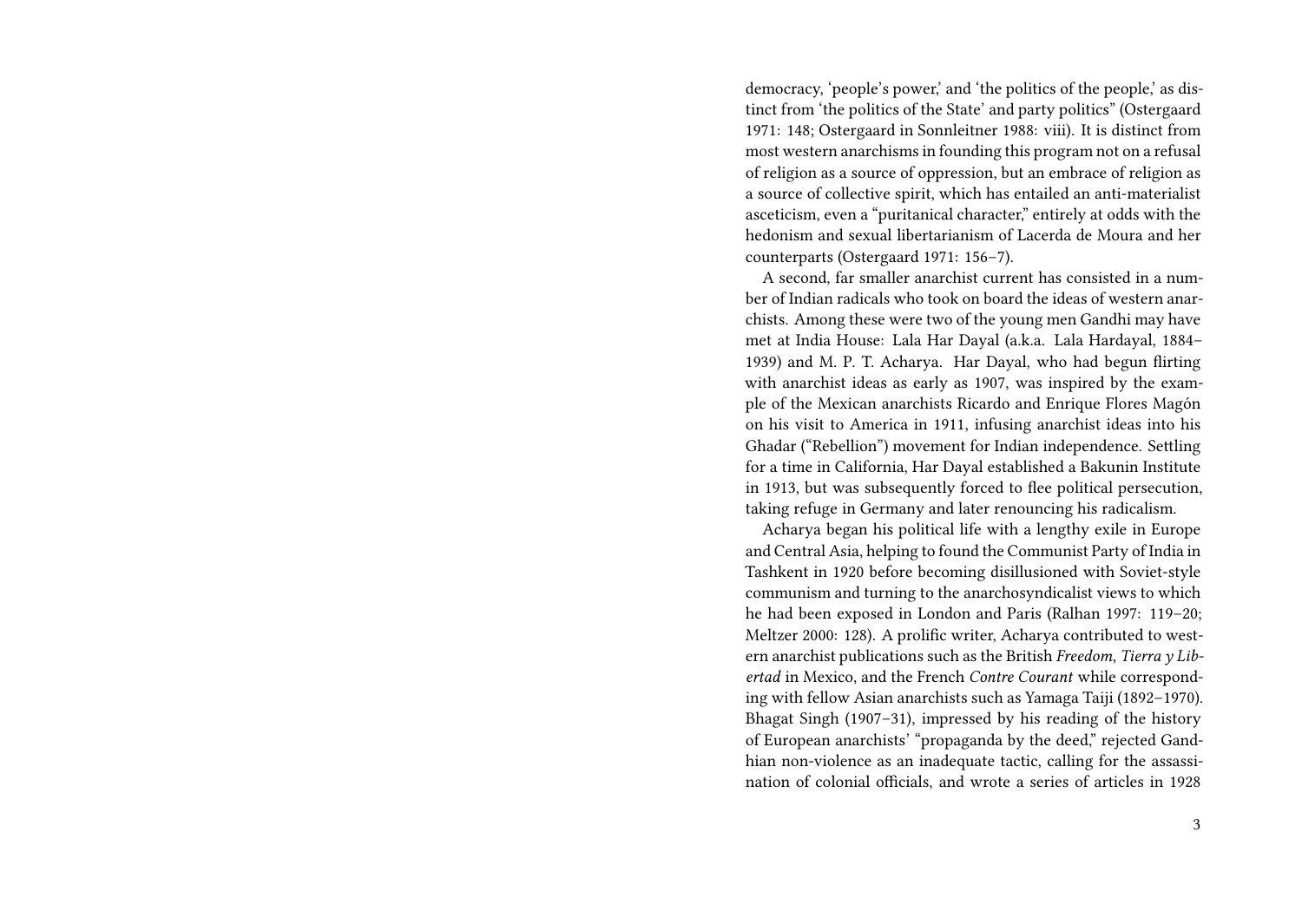democracy, 'people's power,' and 'the politics of the people,' as distinct from 'the politics of the State' and party politics" (Ostergaard 1971: 148; Ostergaard in Sonnleitner 1988: viii). It is distinct from most western anarchisms in founding this program not on a refusal of religion as a source of oppression, but an embrace of religion as a source of collective spirit, which has entailed an anti-materialist asceticism, even a "puritanical character," entirely at odds with the hedonism and sexual libertarianism of Lacerda de Moura and her counterparts (Ostergaard 1971: 156–7).

A second, far smaller anarchist current has consisted in a number of Indian radicals who took on board the ideas of western anarchists. Among these were two of the young men Gandhi may have met at India House: Lala Har Dayal (a.k.a. Lala Hardayal, 1884– 1939) and M. P. T. Acharya. Har Dayal, who had begun flirting with anarchist ideas as early as 1907, was inspired by the example of the Mexican anarchists Ricardo and Enrique Flores Magón on his visit to America in 1911, infusing anarchist ideas into his Ghadar ("Rebellion") movement for Indian independence. Settling for a time in California, Har Dayal established a Bakunin Institute in 1913, but was subsequently forced to flee political persecution, taking refuge in Germany and later renouncing his radicalism.

Acharya began his political life with a lengthy exile in Europe and Central Asia, helping to found the Communist Party of India in Tashkent in 1920 before becoming disillusioned with Soviet-style communism and turning to the anarchosyndicalist views to which he had been exposed in London and Paris (Ralhan 1997: 119–20; Meltzer 2000: 128). A prolific writer, Acharya contributed to western anarchist publications such as the British *Freedom*, *Tierra y Libertad* in Mexico, and the French *Contre Courant* while corresponding with fellow Asian anarchists such as Yamaga Taiji (1892–1970). Bhagat Singh (1907–31), impressed by his reading of the history of European anarchists' "propaganda by the deed," rejected Gandhian non-violence as an inadequate tactic, calling for the assassination of colonial officials, and wrote a series of articles in 1928